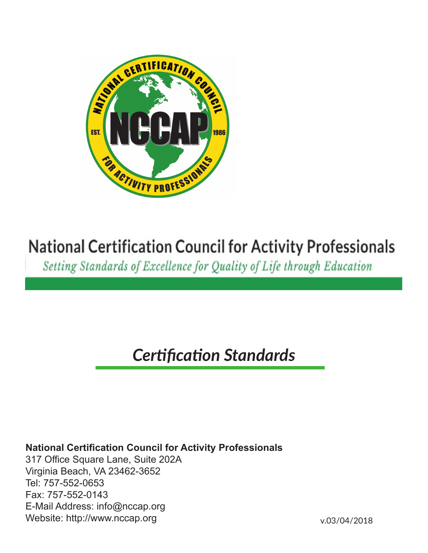

# **National Certification Council for Activity Professionals**

Setting Standards of Excellence for Quality of Life through Education

# *Certification Standards*

# **National Certification Council for Activity Professionals**

317 Office Square Lane, Suite 202A Virginia Beach, VA 23462-3652 Tel: 757-552-0653 Fax: 757-552-0143 E-Mail Address: info@nccap.org Website: http://www.nccap.org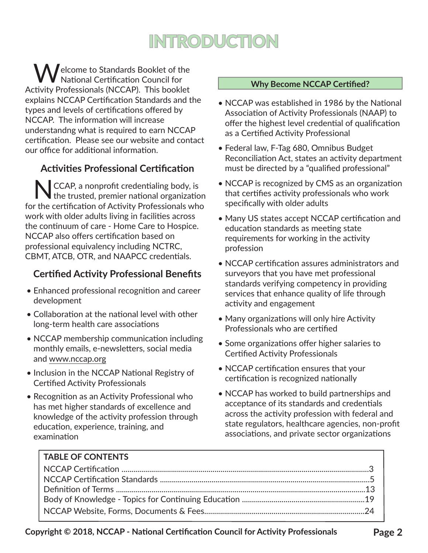# **INTRODUCTION**

**Welcome to Standards Booklet of the** National Certification Council for Activity Professionals (NCCAP). This booklet explains NCCAP Certification Standards and the types and levels of certifications offered by NCCAP. The information will increase understandng what is required to earn NCCAP certification. Please see our website and contact our office for additional information.

# **Activities Professional Certification**

NCCAP, a nonprofit credentialing body, is the trusted, premier national organization for the certification of Activity Professionals who work with older adults living in facilities across the continuum of care - Home Care to Hospice. NCCAP also offers certification based on professional equivalency including NCTRC, CBMT, ATCB, OTR, and NAAPCC credentials.

# **Certified Activity Professional Benefits**

- Enhanced professional recognition and career development
- Collaboration at the national level with other long-term health care associations
- NCCAP membership communication including monthly emails, e-newsletters, social media and www.nccap.org
- Inclusion in the NCCAP National Registry of Certified Activity Professionals
- Recognition as an Activity Professional who has met higher standards of excellence and knowledge of the activity profession through education, experience, training, and examination

#### **Why Become NCCAP Certified?**

- NCCAP was established in 1986 by the National Association of Activity Professionals (NAAP) to offer the highest level credential of qualification as a Certified Activity Professional
- Federal law, F-Tag 680, Omnibus Budget Reconciliation Act, states an activity department must be directed by a "qualified professional"
- NCCAP is recognized by CMS as an organization that certifies activity professionals who work specifically with older adults
- Many US states accept NCCAP certification and education standards as meeting state requirements for working in the activity profession
- NCCAP certification assures administrators and surveyors that you have met professional standards verifying competency in providing services that enhance quality of life through activity and engagement
- Many organizations will only hire Activity Professionals who are certified
- Some organizations offer higher salaries to Certified Activity Professionals
- NCCAP certification ensures that your certification is recognized nationally
- NCCAP has worked to build partnerships and acceptance of its standards and credentials across the activity profession with federal and state regulators, healthcare agencies, non-profit associations, and private sector organizations

| <b>I TABLE OF CONTENTS</b> |  |
|----------------------------|--|
|                            |  |
|                            |  |
|                            |  |
|                            |  |
|                            |  |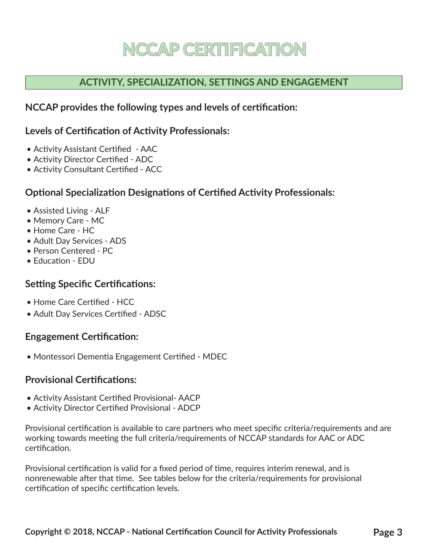# **NCCAP CERTIFICATION**

# **ACTIVITY, SPECIALIZATION, SETTINGS AND ENGAGEMENT**

## **NCCAP provides the following types and levels of certification:**

## **Levels of Certification of Activity Professionals:**

- Activity Assistant Certified AAC
- Activity Director Certified ADC
- Activity Consultant Certified ACC

## **Optional Specialization Designations of Certified Activity Professionals:**

- Assisted Living ALF
- Memory Care MC
- Home Care HC
- Adult Day Services ADS
- Person Centered PC
- Education EDU

## **Setting Specific Certifications:**

- Home Care Certified HCC
- Adult Day Services Certified ADSC

## **Engagement Certification:**

• Montessori Dementia Engagement Certified - MDEC

## **Provisional Certifications:**

- Activity Assistant Certified Provisional- AACP
- Activity Director Certified Provisional ADCP

Provisional certification is available to care partners who meet specific criteria/requirements and are working towards meeting the full criteria/requirements of NCCAP standards for AAC or ADC certification.

Provisional certification is valid for a fixed period of time, requires interim renewal, and is nonrenewable after that time. See tables below for the criteria/requirements for provisional certification of specific certification levels.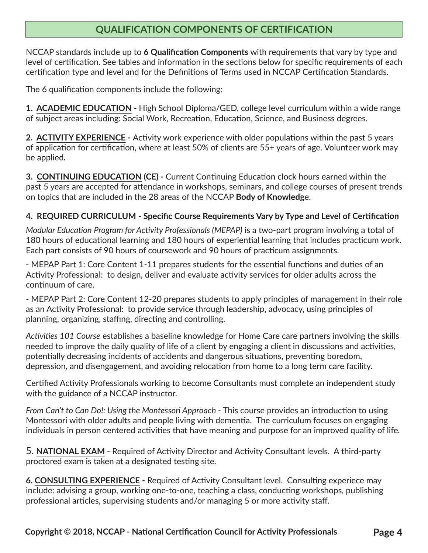## **QUALIFICATION COMPONENTS OF CERTIFICATION**

NCCAP standards include up to **6 Qualification Components** with requirements that vary by type and level of certification. See tables and information in the sections below for specific requirements of each certification type and level and for the Definitions of Terms used in NCCAP Certification Standards.

The 6 qualification components include the following:

**1. ACADEMIC EDUCATION -** High School Diploma/GED, college level curriculum within a wide range of subject areas including: Social Work, Recreation, Education, Science, and Business degrees.

**2. ACTIVITY EXPERIENCE -** Activity work experience with older populations within the past 5 years of application for certification, where at least 50% of clients are 55+ years of age. Volunteer work may be applied**.**

**3. CONTINUING EDUCATION (CE) -** Current Continuing Education clock hours earned within the past 5 years are accepted for attendance in workshops, seminars, and college courses of present trends on topics that are included in the 28 areas of the NCCAP **Body of Knowledg**e.

### **4. REQUIRED CURRICULUM - Specific Course Requirements Vary by Type and Level of Certification**

*Modular Education Program for Activity Professionals (MEPAP)* is a two-part program involving a total of 180 hours of educational learning and 180 hours of experiential learning that includes practicum work. Each part consists of 90 hours of coursework and 90 hours of practicum assignments.

- MEPAP Part 1: Core Content 1-11 prepares students for the essential functions and duties of an Activity Professional: to design, deliver and evaluate activity services for older adults across the continuum of care.

- MEPAP Part 2: Core Content 12-20 prepares students to apply principles of management in their role as an Activity Professional: to provide service through leadership, advocacy, using principles of planning, organizing, staffing, directing and controlling.

*Activities 101 Course* establishes a baseline knowledge for Home Care care partners involving the skills needed to improve the daily quality of life of a client by engaging a client in discussions and activities, potentially decreasing incidents of accidents and dangerous situations, preventing boredom, depression, and disengagement, and avoiding relocation from home to a long term care facility.

Certified Activity Professionals working to become Consultants must complete an independent study with the guidance of a NCCAP instructor.

From Can't to Can Do!: Using the Montessori Approach - This course provides an introduction to using Montessori with older adults and people living with dementia. The curriculum focuses on engaging individuals in person centered activities that have meaning and purpose for an improved quality of life*.*

5. **NATIONAL EXAM** - Required of Activity Director and Activity Consultant levels. A third-party proctored exam is taken at a designated testing site.

**6. CONSULTING EXPERIENCE -** Required of Activity Consultant level. Consulting experiece may include: advising a group, working one-to-one, teaching a class, conducting workshops, publishing professional articles, supervising students and/or managing 5 or more activity staff.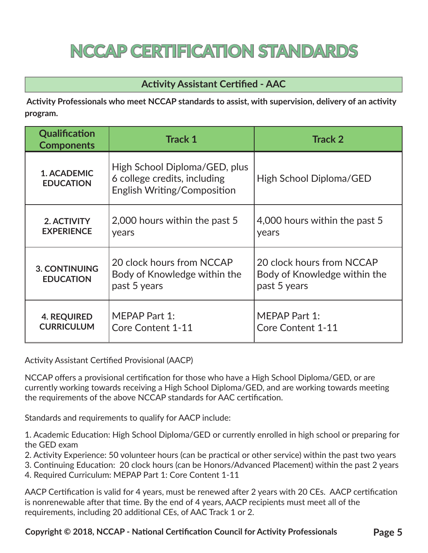# **NCCAP CERTIFICATION STANDARDS**

# **Activity Assistant Certified - AAC**

 **Activity Professionals who meet NCCAP standards to assist, with supervision, delivery of an activity program.**

| Qualification<br><b>Components</b>       | <b>Track 1</b>                                                                               | <b>Track 2</b>                                                            |
|------------------------------------------|----------------------------------------------------------------------------------------------|---------------------------------------------------------------------------|
| 1. ACADEMIC<br><b>EDUCATION</b>          | High School Diploma/GED, plus<br>6 college credits, including<br>English Writing/Composition | High School Diploma/GED                                                   |
| 2. ACTIVITY<br><b>EXPERIENCE</b>         | 2,000 hours within the past 5<br>years                                                       | 4,000 hours within the past 5<br>years                                    |
| <b>3. CONTINUING</b><br><b>EDUCATION</b> | 20 clock hours from NCCAP<br>Body of Knowledge within the<br>past 5 years                    | 20 clock hours from NCCAP<br>Body of Knowledge within the<br>past 5 years |
| <b>4. REQUIRED</b><br><b>CURRICULUM</b>  | MEPAP Part 1:<br>Core Content 1-11                                                           | <b>MEPAP Part 1:</b><br><b>Core Content 1-11</b>                          |

Activity Assistant Certified Provisional (AACP)

NCCAP offers a provisional certification for those who have a High School Diploma/GED, or are currently working towards receiving a High School Diploma/GED, and are working towards meeting the requirements of the above NCCAP standards for AAC certification.

Standards and requirements to qualify for AACP include:

1. Academic Education: High School Diploma/GED or currently enrolled in high school or preparing for the GED exam

2. Activity Experience: 50 volunteer hours (can be practical or other service) within the past two years

3. Continuing Education: 20 clock hours (can be Honors/Advanced Placement) within the past 2 years

4. Required Curriculum: MEPAP Part 1: Core Content 1-11

AACP Certification is valid for 4 years, must be renewed after 2 years with 20 CEs. AACP certification is nonrenewable after that time. By the end of 4 years, AACP recipients must meet all of the requirements, including 20 additional CEs, of AAC Track 1 or 2.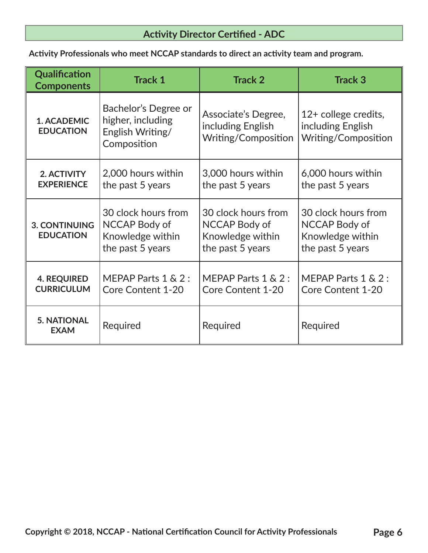# **Activity Director Certified - ADC**

 **Activity Professionals who meet NCCAP standards to direct an activity team and program.**

| Qualification<br><b>Components</b>       | <b>Track 1</b>                                                               | <b>Track 2</b>                                                               | <b>Track 3</b>                                                                      |
|------------------------------------------|------------------------------------------------------------------------------|------------------------------------------------------------------------------|-------------------------------------------------------------------------------------|
| 1. ACADEMIC<br><b>EDUCATION</b>          | Bachelor's Degree or<br>higher, including<br>English Writing/<br>Composition | Associate's Degree,<br>including English<br>Writing/Composition              | 12+ college credits,<br>including English<br>Writing/Composition                    |
| 2. ACTIVITY<br><b>EXPERIENCE</b>         | 2,000 hours within<br>the past 5 years                                       | 3,000 hours within<br>the past 5 years                                       | 6,000 hours within<br>the past 5 years                                              |
| <b>3. CONTINUING</b><br><b>EDUCATION</b> | 30 clock hours from<br>NCCAP Body of<br>Knowledge within<br>the past 5 years | 30 clock hours from<br>NCCAP Body of<br>Knowledge within<br>the past 5 years | 30 clock hours from<br><b>NCCAP Body of</b><br>Knowledge within<br>the past 5 years |
| <b>4. REQUIRED</b><br><b>CURRICULUM</b>  | MEPAP Parts $1 \& 2$ :<br><b>Core Content 1-20</b>                           | MEPAP Parts $1 \& 2$ :<br>Core Content 1-20                                  | MEPAP Parts $1 \& 2$ :<br><b>Core Content 1-20</b>                                  |
| <b>5. NATIONAL</b><br><b>EXAM</b>        | Required                                                                     | Required                                                                     | Required                                                                            |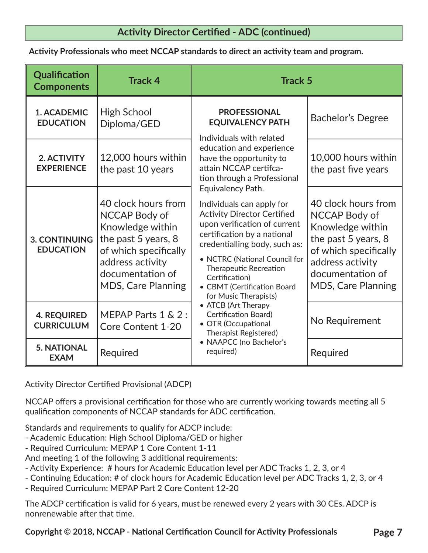## **Activity Director Certified - ADC (continued)**

 **Activity Professionals who meet NCCAP standards to direct an activity team and program.**

| <b>Qualification</b><br><b>Components</b> | <b>Track 4</b>                                                                                                                                                                | <b>Track 5</b>                                                                                                                                                                                                                                                                                                            |                                                                                                                                                                               |
|-------------------------------------------|-------------------------------------------------------------------------------------------------------------------------------------------------------------------------------|---------------------------------------------------------------------------------------------------------------------------------------------------------------------------------------------------------------------------------------------------------------------------------------------------------------------------|-------------------------------------------------------------------------------------------------------------------------------------------------------------------------------|
| 1. ACADEMIC<br><b>EDUCATION</b>           | High School<br>Diploma/GED                                                                                                                                                    | <b>PROFESSIONAL</b><br><b>EQUIVALENCY PATH</b><br>Individuals with related                                                                                                                                                                                                                                                | <b>Bachelor's Degree</b>                                                                                                                                                      |
| 2. ACTIVITY<br><b>EXPERIENCE</b>          | 12,000 hours within<br>the past 10 years                                                                                                                                      | education and experience<br>have the opportunity to<br>attain NCCAP certifca-<br>tion through a Professional                                                                                                                                                                                                              | 10,000 hours within<br>the past five years                                                                                                                                    |
| <b>3. CONTINUING</b><br><b>EDUCATION</b>  | 40 clock hours from<br>NCCAP Body of<br>Knowledge within<br>the past 5 years, 8<br>of which specifically<br>address activity<br>documentation of<br><b>MDS, Care Planning</b> | Equivalency Path.<br>Individuals can apply for<br><b>Activity Director Certified</b><br>upon verification of current<br>certification by a national<br>credentialling body, such as:<br>• NCTRC (National Council for<br>Therapeutic Recreation<br>Certification)<br>• CBMT (Certification Board<br>for Music Therapists) | 40 clock hours from<br>NCCAP Body of<br>Knowledge within<br>the past 5 years, 8<br>of which specifically<br>address activity<br>documentation of<br><b>MDS, Care Planning</b> |
| <b>4. REQUIRED</b><br><b>CURRICULUM</b>   | MEPAP Parts 1 & 2 :<br><b>Core Content 1-20</b>                                                                                                                               | • ATCB (Art Therapy<br><b>Certification Board)</b><br>• OTR (Occupational<br><b>Therapist Registered)</b>                                                                                                                                                                                                                 | No Requirement                                                                                                                                                                |
| <b>5. NATIONAL</b><br><b>EXAM</b>         | Required                                                                                                                                                                      | • NAAPCC (no Bachelor's<br>required)                                                                                                                                                                                                                                                                                      | Required                                                                                                                                                                      |

Activity Director Certified Provisional (ADCP)

NCCAP offers a provisional certification for those who are currently working towards meeting all 5 qualification components of NCCAP standards for ADC certification.

Standards and requirements to qualify for ADCP include:

- Academic Education: High School Diploma/GED or higher
- Required Curriculum: MEPAP 1 Core Content 1-11
- And meeting 1 of the following 3 additional requirements:
- Activity Experience: # hours for Academic Education level per ADC Tracks 1, 2, 3, or 4
- Continuing Education: # of clock hours for Academic Education level per ADC Tracks 1, 2, 3, or 4
- Required Curriculum: MEPAP Part 2 Core Content 12-20

The ADCP certification is valid for 6 years, must be renewed every 2 years with 30 CEs. ADCP is nonrenewable after that time.

**Copyright © 2018, NCCAP - National Certification Council for Activity Professionals Page 7**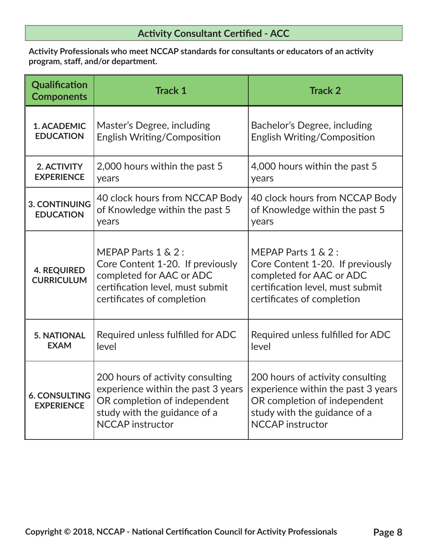**Activity Professionals who meet NCCAP standards for consultants or educators of an activity program, staff, and/or department.**

| Qualification<br><b>Components</b>        | <b>Track 1</b>                                                                                                                                                    | <b>Track 2</b>                                                                                                                                                    |
|-------------------------------------------|-------------------------------------------------------------------------------------------------------------------------------------------------------------------|-------------------------------------------------------------------------------------------------------------------------------------------------------------------|
| 1. ACADEMIC<br><b>EDUCATION</b>           | Master's Degree, including<br>English Writing/Composition                                                                                                         | Bachelor's Degree, including<br>English Writing/Composition                                                                                                       |
| 2. ACTIVITY<br><b>EXPERIENCE</b>          | 2,000 hours within the past 5<br>years                                                                                                                            | 4,000 hours within the past 5<br>years                                                                                                                            |
| <b>3. CONTINUING</b><br><b>EDUCATION</b>  | 40 clock hours from NCCAP Body<br>of Knowledge within the past 5<br>years                                                                                         | 40 clock hours from NCCAP Body<br>of Knowledge within the past 5<br>years                                                                                         |
| <b>4. REQUIRED</b><br><b>CURRICULUM</b>   | MEPAP Parts 1 & 2 :<br>Core Content 1-20. If previously<br>completed for AAC or ADC<br>certification level, must submit<br>certificates of completion             | MEPAP Parts 1 & 2 :<br>Core Content 1-20. If previously<br>completed for AAC or ADC<br>certification level, must submit<br>certificates of completion             |
| <b>5. NATIONAL</b><br><b>EXAM</b>         | Required unless fulfilled for ADC<br>level                                                                                                                        | Required unless fulfilled for ADC<br>level                                                                                                                        |
| <b>6. CONSULTING</b><br><b>EXPERIENCE</b> | 200 hours of activity consulting<br>experience within the past 3 years<br>OR completion of independent<br>study with the guidance of a<br><b>NCCAP</b> instructor | 200 hours of activity consulting<br>experience within the past 3 years<br>OR completion of independent<br>study with the guidance of a<br><b>NCCAP</b> instructor |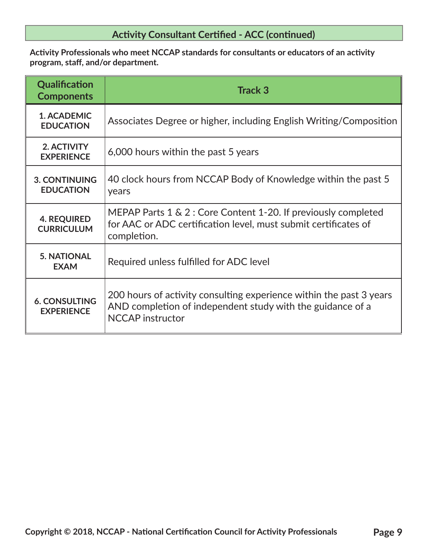**Activity Professionals who meet NCCAP standards for consultants or educators of an activity program, staff, and/or department.**

| Qualification<br><b>Components</b>        | <b>Track 3</b>                                                                                                                                               |
|-------------------------------------------|--------------------------------------------------------------------------------------------------------------------------------------------------------------|
| 1. ACADEMIC<br><b>EDUCATION</b>           | Associates Degree or higher, including English Writing/Composition                                                                                           |
| 2. ACTIVITY<br><b>EXPERIENCE</b>          | 6,000 hours within the past 5 years                                                                                                                          |
| <b>3. CONTINUING</b><br><b>EDUCATION</b>  | 40 clock hours from NCCAP Body of Knowledge within the past 5<br>years                                                                                       |
| <b>4. REQUIRED</b><br><b>CURRICULUM</b>   | MEPAP Parts $1 \& 2$ : Core Content 1-20. If previously completed<br>for AAC or ADC certification level, must submit certificates of<br>completion.          |
| <b>5. NATIONAL</b><br><b>EXAM</b>         | Required unless fulfilled for ADC level                                                                                                                      |
| <b>6. CONSULTING</b><br><b>EXPERIENCE</b> | 200 hours of activity consulting experience within the past 3 years<br>AND completion of independent study with the guidance of a<br><b>NCCAP</b> instructor |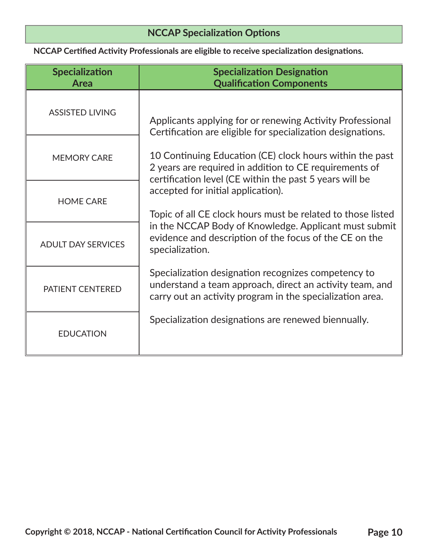# **NCCAP Specialization Options**

**NCCAP Certified Activity Professionals are eligible to receive specialization designations.**

| <b>Specialization</b><br>Area | <b>Specialization Designation</b><br><b>Qualification Components</b>                                                                                                                                                                                                                                                                                                                                                     |  |
|-------------------------------|--------------------------------------------------------------------------------------------------------------------------------------------------------------------------------------------------------------------------------------------------------------------------------------------------------------------------------------------------------------------------------------------------------------------------|--|
| <b>ASSISTED LIVING</b>        | Applicants applying for or renewing Activity Professional<br>Certification are eligible for specialization designations.                                                                                                                                                                                                                                                                                                 |  |
| <b>MEMORY CARE</b>            | 10 Continuing Education (CE) clock hours within the past<br>2 years are required in addition to CE requirements of<br>certification level (CE within the past 5 years will be<br>accepted for initial application).<br>Topic of all CE clock hours must be related to those listed<br>in the NCCAP Body of Knowledge. Applicant must submit<br>evidence and description of the focus of the CE on the<br>specialization. |  |
| <b>HOME CARE</b>              |                                                                                                                                                                                                                                                                                                                                                                                                                          |  |
| <b>ADULT DAY SERVICES</b>     |                                                                                                                                                                                                                                                                                                                                                                                                                          |  |
| PATIENT CENTERED              | Specialization designation recognizes competency to<br>understand a team approach, direct an activity team, and<br>carry out an activity program in the specialization area.                                                                                                                                                                                                                                             |  |
| <b>EDUCATION</b>              | Specialization designations are renewed biennually.                                                                                                                                                                                                                                                                                                                                                                      |  |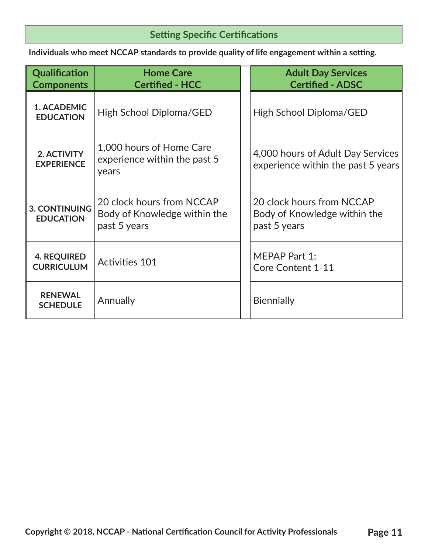# **Setting Specific Certifications**

 **Individuals who meet NCCAP standards to provide quality of life engagement within a setting.** 

| Qualification<br><b>Components</b>       | <b>Home Care</b><br><b>Certified - HCC</b>                                | <b>Adult Day Services</b><br><b>Certified - ADSC</b>                      |
|------------------------------------------|---------------------------------------------------------------------------|---------------------------------------------------------------------------|
| 1. ACADEMIC<br><b>EDUCATION</b>          | High School Diploma/GED                                                   | High School Diploma/GED                                                   |
| 2. ACTIVITY<br><b>EXPERIENCE</b>         | 1,000 hours of Home Care<br>experience within the past 5<br>years         | 4,000 hours of Adult Day Services<br>experience within the past 5 years   |
| <b>3. CONTINUING</b><br><b>EDUCATION</b> | 20 clock hours from NCCAP<br>Body of Knowledge within the<br>past 5 years | 20 clock hours from NCCAP<br>Body of Knowledge within the<br>past 5 years |
| <b>4. REQUIRED</b><br><b>CURRICULUM</b>  | <b>Activities 101</b>                                                     | <b>MEPAP Part 1:</b><br><b>Core Content 1-11</b>                          |
| <b>RENEWAL</b><br><b>SCHEDULE</b>        | Annually                                                                  | <b>Biennially</b>                                                         |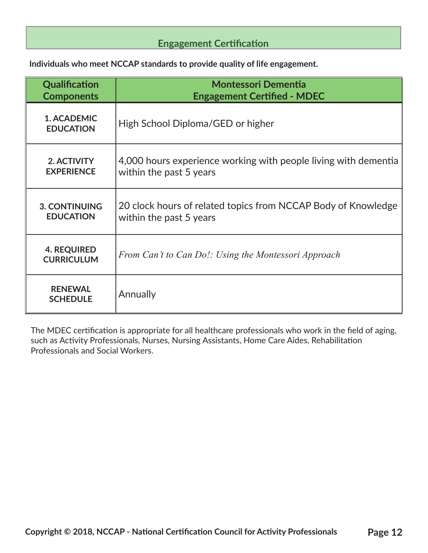# **Engagement Certification**

**Individuals who meet NCCAP standards to provide quality of life engagement.**

| Qualification                           | <b>Montessori Dementia</b>                                      |
|-----------------------------------------|-----------------------------------------------------------------|
| <b>Components</b>                       | <b>Engagement Certified - MDEC</b>                              |
| 1. ACADEMIC<br><b>EDUCATION</b>         | High School Diploma/GED or higher                               |
| 2. ACTIVITY                             | 4,000 hours experience working with people living with dementia |
| <b>EXPERIENCE</b>                       | within the past 5 years                                         |
| <b>3. CONTINUING</b>                    | 20 clock hours of related topics from NCCAP Body of Knowledge   |
| <b>EDUCATION</b>                        | within the past 5 years                                         |
| <b>4. REQUIRED</b><br><b>CURRICULUM</b> | From Can't to Can Do!: Using the Montessori Approach            |
| <b>RENEWAL</b><br><b>SCHEDULE</b>       | Annually                                                        |

The MDEC certification is appropriate for all healthcare professionals who work in the field of aging, such as Activity Professionals, Nurses, Nursing Assistants, Home Care Aides, Rehabilitation Professionals and Social Workers.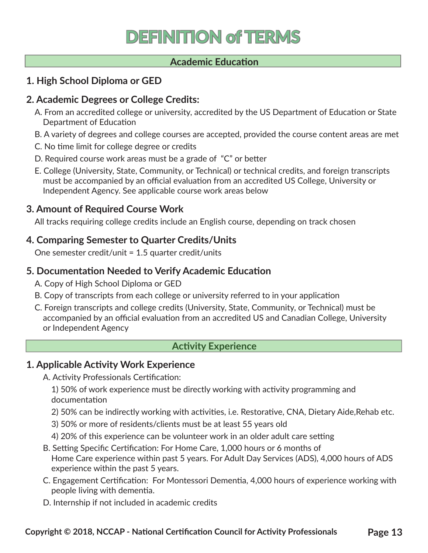# **DEFINITION of TERMS**

## **Academic Education**

## **1. High School Diploma or GED**

## **2. Academic Degrees or College Credits:**

- A. From an accredited college or university, accredited by the US Department of Education or State Department of Education
- B. A variety of degrees and college courses are accepted, provided the course content areas are met
- C. No time limit for college degree or credits
- D. Required course work areas must be a grade of "C" or better
- E. College (University, State, Community, or Technical) or technical credits, and foreign transcripts must be accompanied by an official evaluation from an accredited US College, University or Independent Agency. See applicable course work areas below

## **3. Amount of Required Course Work**

All tracks requiring college credits include an English course, depending on track chosen

## **4. Comparing Semester to Quarter Credits/Units**

One semester credit/unit = 1.5 quarter credit/units

## **5. Documentation Needed to Verify Academic Education**

- A. Copy of High School Diploma or GED
- B. Copy of transcripts from each college or university referred to in your application
- C. Foreign transcripts and college credits (University, State, Community, or Technical) must be accompanied by an official evaluation from an accredited US and Canadian College, University or Independent Agency

### **Activity Experience**

# **1. Applicable Activity Work Experience**

A. Activity Professionals Certification:

1) 50% of work experience must be directly working with activity programming and documentation

- 2) 50% can be indirectly working with activities, i.e. Restorative, CNA, Dietary Aide,Rehab etc.
- 3) 50% or more of residents/clients must be at least 55 years old
- 4) 20% of this experience can be volunteer work in an older adult care setting
- B. Setting Specific Certification: For Home Care, 1,000 hours or 6 months of Home Care experience within past 5 years. For Adult Day Services (ADS), 4,000 hours of ADS experience within the past 5 years.
- C. Engagement Certification: For Montessori Dementia, 4,000 hours of experience working with people living with dementia.
- D. Internship if not included in academic credits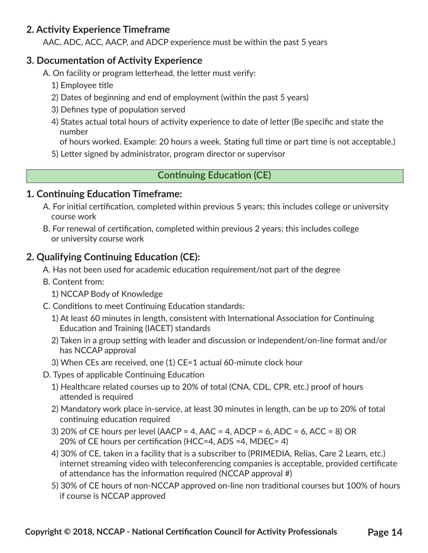# **2. Activity Experience Timeframe**

AAC, ADC, ACC, AACP, and ADCP experience must be within the past 5 years

# **3. Documentation of Activity Experience**

- A. On facility or program letterhead, the letter must verify:
	- 1) Employee title
	- 2) Dates of beginning and end of employment (within the past 5 years)
	- 3) Defines type of population served
	- 4) States actual total hours of activity experience to date of letter (Be specific and state the number

of hours worked. Example: 20 hours a week. Stating full time or part time is not acceptable.)

5) Letter signed by administrator, program director or supervisor

## **Continuing Education (CE)**

## **1. Continuing Education Timeframe:**

- A. For initial certification, completed within previous 5 years; this includes college or university course work
- B. For renewal of certification, completed within previous 2 years; this includes college or university course work

# **2. Qualifying Continuing Education (CE):**

- A. Has not been used for academic education requirement/not part of the degree
- B. Content from:
	- 1) NCCAP Body of Knowledge
- C. Conditions to meet Continuing Education standards:
	- 1) At least 60 minutes in length, consistent with International Association for Continuing Education and Training (IACET) standards
	- 2) Taken in a group setting with leader and discussion or independent/on-line format and/or has NCCAP approval
	- 3) When CEs are received, one (1) CE=1 actual 60-minute clock hour
- D. Types of applicable Continuing Education
	- 1) Healthcare related courses up to 20% of total (CNA, CDL, CPR, etc.) proof of hours attended is required
	- 2) Mandatory work place in-service, at least 30 minutes in length, can be up to 20% of total continuing education required
	- 3) 20% of CE hours per level (AACP = 4, AAC = 4, ADCP = 6, ADC = 6, ACC = 8) OR 20% of CE hours per certification (HCC=4, ADS =4, MDEC= 4)
	- 4) 30% of CE, taken in a facility that is a subscriber to (PRIMEDIA, Relias, Care 2 Learn, etc.) internet streaming video with teleconferencing companies is acceptable, provided certificate of attendance has the information required (NCCAP approval #)
	- 5) 30% of CE hours of non-NCCAP approved on-line non traditional courses but 100% of hours if course is NCCAP approved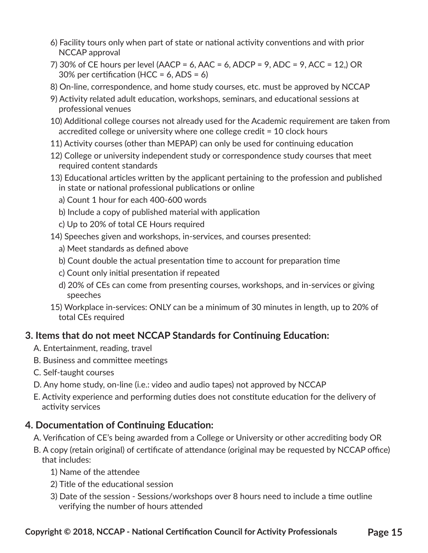- 6) Facility tours only when part of state or national activity conventions and with prior NCCAP approval
- 7) 30% of CE hours per level (AACP = 6, AAC = 6, ADCP = 9, ADC = 9, ACC = 12,) OR 30% per certification (HCC =  $6$ , ADS =  $6$ )
- 8) On-line, correspondence, and home study courses, etc. must be approved by NCCAP
- 9) Activity related adult education, workshops, seminars, and educational sessions at professional venues
- 10) Additional college courses not already used for the Academic requirement are taken from accredited college or university where one college credit = 10 clock hours
- 11) Activity courses (other than MEPAP) can only be used for continuing education
- 12) College or university independent study or correspondence study courses that meet required content standards
- 13) Educational articles written by the applicant pertaining to the profession and published in state or national professional publications or online
	- a) Count 1 hour for each 400-600 words
	- b) Include a copy of published material with application
	- c) Up to 20% of total CE Hours required
- 14) Speeches given and workshops, in-services, and courses presented:
	- a) Meet standards as defined above
	- b) Count double the actual presentation time to account for preparation time
	- c) Count only initial presentation if repeated
	- d) 20% of CEs can come from presenting courses, workshops, and in-services or giving speeches
- 15) Workplace in-services: ONLY can be a minimum of 30 minutes in length, up to 20% of total CEs required

# **3. Items that do not meet NCCAP Standards for Continuing Education:**

- A. Entertainment, reading, travel
- B. Business and committee meetings
- C. Self-taught courses
- D. Any home study, on-line (i.e.: video and audio tapes) not approved by NCCAP
- E. Activity experience and performing duties does not constitute education for the delivery of activity services

# **4. Documentation of Continuing Education:**

- A. Verification of CE's being awarded from a College or University or other accrediting body OR
- B. A copy (retain original) of certificate of attendance (original may be requested by NCCAP office) that includes:
	- 1) Name of the attendee
	- 2) Title of the educational session
	- 3) Date of the session Sessions/workshops over 8 hours need to include a time outline verifying the number of hours attended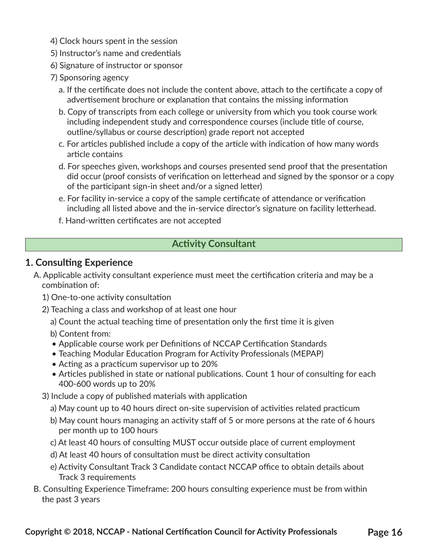- 4) Clock hours spent in the session
- 5) Instructor's name and credentials
- 6) Signature of instructor or sponsor
- 7) Sponsoring agency
	- a. If the certificate does not include the content above, attach to the certificate a copy of advertisement brochure or explanation that contains the missing information
	- b. Copy of transcripts from each college or university from which you took course work including independent study and correspondence courses (include title of course, outline/syllabus or course description) grade report not accepted
	- c. For articles published include a copy of the article with indication of how many words article contains
	- d. For speeches given, workshops and courses presented send proof that the presentation did occur (proof consists of verification on letterhead and signed by the sponsor or a copy of the participant sign-in sheet and/or a signed letter)
	- e. For facility in-service a copy of the sample certificate of attendance or verification including all listed above and the in-service director's signature on facility letterhead.
	- f. Hand-written certificates are not accepted

# **Activity Consultant**

## **1. Consulting Experience**

- A. Applicable activity consultant experience must meet the certification criteria and may be a combination of:
	- 1) One-to-one activity consultation
	- 2) Teaching a class and workshop of at least one hour
		- a) Count the actual teaching time of presentation only the first time it is given
		- b) Content from:
		- Applicable course work per Definitions of NCCAP Certification Standards
		- Teaching Modular Education Program for Activity Professionals (MEPAP)
		- Acting as a practicum supervisor up to 20%
		- Articles published in state or national publications. Count 1 hour of consulting for each 400-600 words up to 20%
	- 3) Include a copy of published materials with application
		- a) May count up to 40 hours direct on-site supervision of activities related practicum
		- b) May count hours managing an activity staff of 5 or more persons at the rate of 6 hours per month up to 100 hours
		- c) At least 40 hours of consulting MUST occur outside place of current employment
		- d) At least 40 hours of consultation must be direct activity consultation
		- e) Activity Consultant Track 3 Candidate contact NCCAP office to obtain details about Track 3 requirements
- B. Consulting Experience Timeframe: 200 hours consulting experience must be from within the past 3 years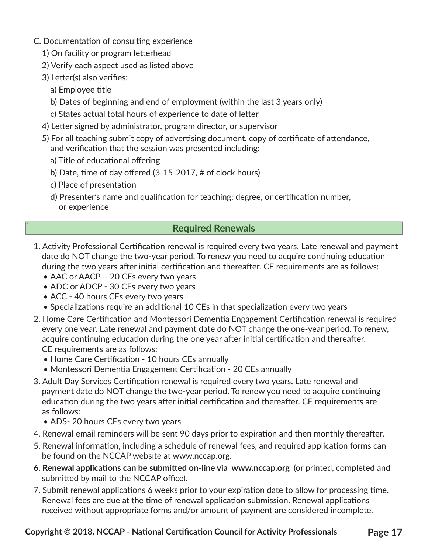- C. Documentation of consulting experience
	- 1) On facility or program letterhead
	- 2) Verify each aspect used as listed above
	- 3) Letter(s) also verifies:
		- a) Employee title
		- b) Dates of beginning and end of employment (within the last 3 years only)
		- c) States actual total hours of experience to date of letter
	- 4) Letter signed by administrator, program director, or supervisor
	- 5) For all teaching submit copy of advertising document, copy of certificate of attendance, and verification that the session was presented including:
		- a) Title of educational offering
		- b) Date, time of day offered (3-15-2017, # of clock hours)
		- c) Place of presentation

`

d) Presenter's name and qualification for teaching: degree, or certification number, or experience

## **Required Renewals**

- 1. Activity Professional Certification renewal is required every two years. Late renewal and payment date do NOT change the two-year period. To renew you need to acquire continuing education during the two years after initial certification and thereafter. CE requirements are as follows:
	- AAC or AACP 20 CEs every two years
	- ADC or ADCP 30 CEs every two years
	- ACC 40 hours CEs every two years
	- Specializations require an additional 10 CEs in that specialization every two years
- 2. Home Care Certification and Montessori Dementia Engagement Certification renewal is required every one year. Late renewal and payment date do NOT change the one-year period. To renew, acquire continuing education during the one year after initial certification and thereafter. CE requirements are as follows:
	- Home Care Certification 10 hours CEs annually
	- Montessori Dementia Engagement Certification 20 CEs annually
- 3. Adult Day Services Certification renewal is required every two years. Late renewal and payment date do NOT change the two-year period. To renew you need to acquire continuing education during the two years after initial certification and thereafter. CE requirements are as follows:
	- ADS- 20 hours CEs every two years
- 4. Renewal email reminders will be sent 90 days prior to expiration and then monthly thereafter.
- 5. Renewal information, including a schedule of renewal fees, and required application forms can be found on the NCCAP website at www.nccap.org.
- **6. Renewal applications can be submitted on-line via www.nccap.org** (or printed, completed and submitted by mail to the NCCAP office).
- 7. Submit renewal applications 6 weeks prior to your expiration date to allow for processing time. Renewal fees are due at the time of renewal application submission. Renewal applications received without appropriate forms and/or amount of payment are considered incomplete.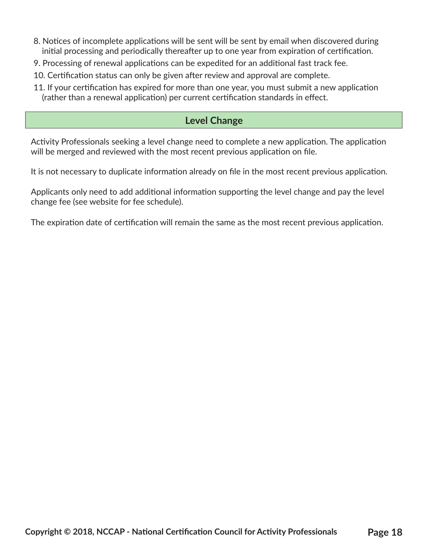- 8. Notices of incomplete applications will be sent will be sent by email when discovered during initial processing and periodically thereafter up to one year from expiration of certification.
- 9. Processing of renewal applications can be expedited for an additional fast track fee.
- 10. Certification status can only be given after review and approval are complete.
- 11. If your certification has expired for more than one year, you must submit a new application (rather than a renewal application) per current certification standards in effect.

## **Level Change**

Activity Professionals seeking a level change need to complete a new application. The application will be merged and reviewed with the most recent previous application on file.

It is not necessary to duplicate information already on file in the most recent previous application.

Applicants only need to add additional information supporting the level change and pay the level change fee (see website for fee schedule).

The expiration date of certification will remain the same as the most recent previous application.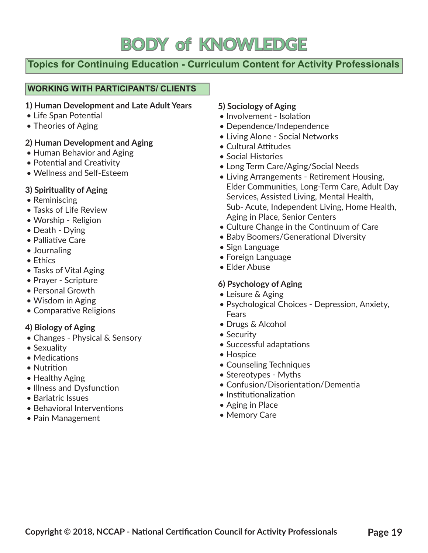# **BODY of KNOWLEDGE**

# `**Topics for Continuing Education - Curriculum Content for Activity Professionals**

#### **WORKING WITH PARTICIPANTS/ CLIENTS**

#### **1) Human Development and Late Adult Years**

- Life Span Potential
- Theories of Aging

### **2) Human Development and Aging**

- Human Behavior and Aging
- Potential and Creativity
- Wellness and Self-Esteem

### **3) Spirituality of Aging**

- Reminiscing
- Tasks of Life Review
- Worship Religion
- Death Dying
- Palliative Care
- Journaling
- Ethics
- Tasks of Vital Aging
- Prayer Scripture
- Personal Growth
- Wisdom in Aging
- Comparative Religions

#### **4) Biology of Aging**

- Changes Physical & Sensory
- Sexuality
- Medications
- Nutrition
- Healthy Aging
- Illness and Dysfunction
- Bariatric Issues
- Behavioral Interventions
- Pain Management

### **5) Sociology of Aging**

- Involvement Isolation
- Dependence/Independence
- Living Alone Social Networks
- Cultural Attitudes
- Social Histories
- Long Term Care/Aging/Social Needs
- Living Arrangements Retirement Housing, Elder Communities, Long-Term Care, Adult Day Services, Assisted Living, Mental Health, Sub- Acute, Independent Living, Home Health, Aging in Place, Senior Centers
- Culture Change in the Continuum of Care
- Baby Boomers/Generational Diversity
- Sign Language
- Foreign Language
- Elder Abuse

#### **6) Psychology of Aging**

- Leisure & Aging
- Psychological Choices Depression, Anxiety, Fears
- Drugs & Alcohol
- Security
- Successful adaptations
- Hospice
- Counseling Techniques
- Stereotypes Myths
- Confusion/Disorientation/Dementia
- Institutionalization
- Aging in Place
- Memory Care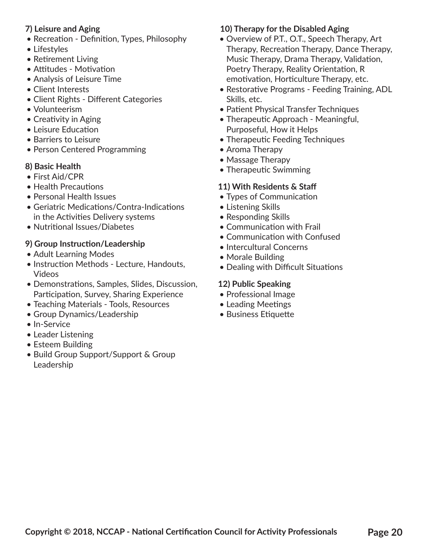### **7) Leisure and Aging**

- Recreation Definition, Types, Philosophy
- Lifestyles
- Retirement Living
- Attitudes Motivation
- Analysis of Leisure Time
- Client Interests
- Client Rights Different Categories
- Volunteerism
- Creativity in Aging
- Leisure Education
- Barriers to Leisure
- Person Centered Programming

# **8) Basic Health**

- First Aid/CPR
- Health Precautions
- Personal Health Issues
- Geriatric Medications/Contra-Indications in the Activities Delivery systems
- Nutritional Issues/Diabetes

# **9) Group Instruction/Leadership**

- Adult Learning Modes
- Instruction Methods Lecture, Handouts, Videos
- Demonstrations, Samples, Slides, Discussion, Participation, Survey, Sharing Experience
- Teaching Materials Tools, Resources
- Group Dynamics/Leadership
- In-Service
- Leader Listening
- Esteem Building
- Build Group Support/Support & Group Leadership

# **10) Therapy for the Disabled Aging**

- Overview of P.T., O.T., Speech Therapy, Art Therapy, Recreation Therapy, Dance Therapy, Music Therapy, Drama Therapy, Validation, Poetry Therapy, Reality Orientation, R emotivation, Horticulture Therapy, etc.
- Restorative Programs Feeding Training, ADL Skills, etc.
- Patient Physical Transfer Techniques
- Therapeutic Approach Meaningful, Purposeful, How it Helps
- Therapeutic Feeding Techniques
- Aroma Therapy
- Massage Therapy
- Therapeutic Swimming

# **11) With Residents & Staff**

- Types of Communication
- Listening Skills
- Responding Skills
- Communication with Frail
- Communication with Confused
- Intercultural Concerns
- Morale Building
- Dealing with Difficult Situations

# **12) Public Speaking**

- Professional Image
- Leading Meetings
- Business Etiquette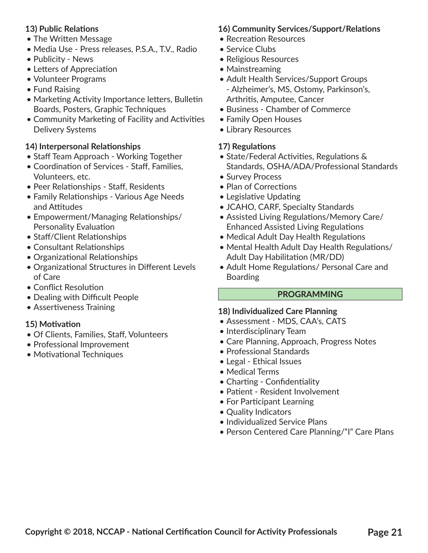#### **13) Public Relations**

- The Written Message
- Media Use Press releases, P.S.A., T.V., Radio
- Publicity News
- Letters of Appreciation
- Volunteer Programs
- Fund Raising
- Marketing Activity Importance letters, Bulletin Boards, Posters, Graphic Techniques
- Community Marketing of Facility and Activities Delivery Systems

### **14) Interpersonal Relationships**

- Staff Team Approach Working Together
- Coordination of Services Staff, Families, Volunteers, etc.
- Peer Relationships Staff, Residents
- Family Relationships Various Age Needs and Attitudes
- Empowerment/Managing Relationships/ Personality Evaluation
- Staff/Client Relationships
- Consultant Relationships
- Organizational Relationships
- Organizational Structures in Different Levels of Care
- Conflict Resolution
- Dealing with Difficult People
- Assertiveness Training

#### **15) Motivation**

- Of Clients, Families, Staff, Volunteers
- Professional Improvement
- Motivational Techniques

### **16) Community Services/Support/Relations**

- Recreation Resources
- Service Clubs
- Religious Resources
- Mainstreaming
- Adult Health Services/Support Groups - Alzheimer's, MS, Ostomy, Parkinson's, Arthritis, Amputee, Cancer
- Business Chamber of Commerce
- Family Open Houses
- Library Resources

#### **17) Regulations**

- State/Federal Activities, Regulations & Standards, OSHA/ADA/Professional Standards
- Survey Process
- Plan of Corrections
- Legislative Updating
- JCAHO, CARF, Specialty Standards
- Assisted Living Regulations/Memory Care/ Enhanced Assisted Living Regulations
- Medical Adult Day Health Regulations
- Mental Health Adult Day Health Regulations/ Adult Day Habilitation (MR/DD)
- Adult Home Regulations/ Personal Care and Boarding

#### **PROGRAMMING**

#### **18) Individualized Care Planning**

- Assessment MDS, CAA's, CATS
- Interdisciplinary Team
- Care Planning, Approach, Progress Notes
- Professional Standards
- Legal Ethical Issues
- Medical Terms
- Charting Confidentiality
- Patient Resident Involvement
- For Participant Learning
- Quality Indicators
- Individualized Service Plans
- Person Centered Care Planning/"I" Care Plans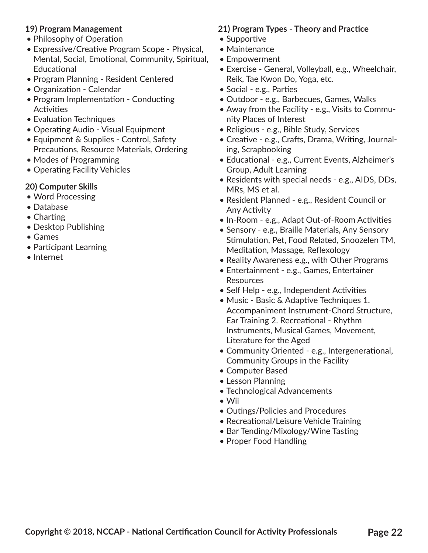#### **19) Program Management**

- Philosophy of Operation
- Expressive/Creative Program Scope Physical, Mental, Social, Emotional, Community, Spiritual, **Educational**
- Program Planning Resident Centered
- Organization Calendar
- Program Implementation Conducting **Activities**
- Evaluation Techniques
- Operating Audio Visual Equipment
- Equipment & Supplies Control, Safety Precautions, Resource Materials, Ordering
- Modes of Programming
- Operating Facility Vehicles

### **20) Computer Skills**

- Word Processing
- Database
- Charting
- Desktop Publishing
- Games
- Participant Learning
- Internet

### **21) Program Types - Theory and Practice**

- Supportive
- Maintenance
- Empowerment
- Exercise General, Volleyball, e.g., Wheelchair, Reik, Tae Kwon Do, Yoga, etc.
- Social e.g., Parties
- Outdoor e.g., Barbecues, Games, Walks
- Away from the Facility e.g., Visits to Community Places of Interest
- Religious e.g., Bible Study, Services
- Creative e.g., Crafts, Drama, Writing, Journaling, Scrapbooking
- Educational e.g., Current Events, Alzheimer's Group, Adult Learning
- Residents with special needs e.g., AIDS, DDs, MRs, MS et al.
- Resident Planned e.g., Resident Council or Any Activity
- In-Room e.g., Adapt Out-of-Room Activities
- Sensory e.g., Braille Materials, Any Sensory Stimulation, Pet, Food Related, Snoozelen TM, Meditation, Massage, Reflexology
- Reality Awareness e.g., with Other Programs
- Entertainment e.g., Games, Entertainer **Resources**
- Self Help e.g., Independent Activities
- Music Basic & Adaptive Techniques 1. Accompaniment Instrument-Chord Structure, Ear Training 2. Recreational - Rhythm Instruments, Musical Games, Movement, Literature for the Aged
- Community Oriented e.g., Intergenerational, Community Groups in the Facility
- Computer Based
- Lesson Planning
- Technological Advancements
- Wii
- Outings/Policies and Procedures
- Recreational/Leisure Vehicle Training
- Bar Tending/Mixology/Wine Tasting
- Proper Food Handling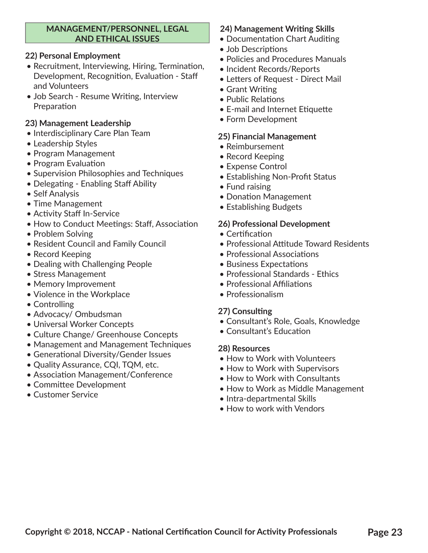#### **MANAGEMENT/PERSONNEL, LEGAL AND ETHICAL ISSUES**

#### **22) Personal Employment**

- Recruitment, Interviewing, Hiring, Termination, Development, Recognition, Evaluation - Staff and Volunteers
- Job Search Resume Writing, Interview Preparation

#### **23) Management Leadership**

- Interdisciplinary Care Plan Team
- Leadership Styles
- Program Management
- Program Evaluation
- Supervision Philosophies and Techniques
- Delegating Enabling Staff Ability
- Self Analysis
- Time Management
- Activity Staff In-Service
- How to Conduct Meetings: Staff, Association
- Problem Solving
- Resident Council and Family Council
- Record Keeping
- Dealing with Challenging People
- Stress Management
- Memory Improvement
- Violence in the Workplace
- Controlling
- Advocacy/ Ombudsman
- Universal Worker Concepts
- Culture Change/ Greenhouse Concepts
- Management and Management Techniques
- Generational Diversity/Gender Issues
- Quality Assurance, CQI, TQM, etc.
- Association Management/Conference
- Committee Development
- Customer Service

### **24) Management Writing Skills**

- Documentation Chart Auditing
- Job Descriptions
- Policies and Procedures Manuals
- Incident Records/Reports
- Letters of Request Direct Mail
- Grant Writing
- Public Relations
- E-mail and Internet Etiquette
- Form Development

#### **25) Financial Management**

- Reimbursement
- Record Keeping
- Expense Control
- Establishing Non-Profit Status
- Fund raising
- Donation Management
- Establishing Budgets

#### **26) Professional Development**

- Certification
- Professional Attitude Toward Residents
- Professional Associations
- Business Expectations
- Professional Standards Ethics
- Professional Affiliations
- Professionalism

#### **27) Consulting**

- Consultant's Role, Goals, Knowledge
- Consultant's Education

#### **28) Resources**

- How to Work with Volunteers
- How to Work with Supervisors
- How to Work with Consultants
- How to Work as Middle Management
- Intra-departmental Skills
- How to work with Vendors